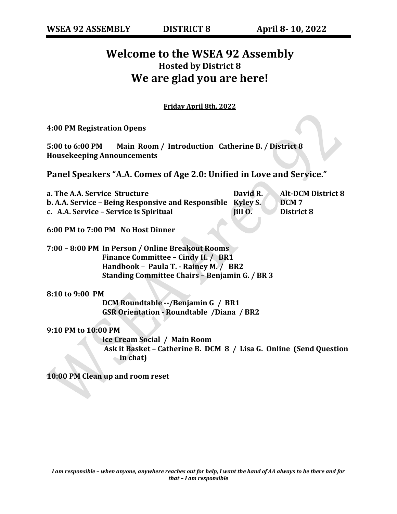## **Welcome to the WSEA 92 Assembly Hosted by District 8 We are glad you are here!**

**Friday April 8th, 2022**

**4:00 PM Registration Opens**

**5:00 to 6:00 PM Main Room / Introduction Catherine B. / District 8 Housekeeping Announcements**

**Panel Speakers "A.A. Comes of Age 2.0: Unified in Love and Service."** 

| a. The A.A. Service Structure                               | David R. | <b>Alt-DCM District 8</b> |
|-------------------------------------------------------------|----------|---------------------------|
| b. A.A. Service - Being Responsive and Responsible Kyley S. |          | DCM <sub>7</sub>          |
| c. A.A. Service – Service is Spiritual                      | Jill O.  | District 8                |

**6:00 PM to 7:00 PM No Host Dinner**

**7:00 – 8:00 PM In Person / Online Breakout Rooms Finance Committee – Cindy H. / BR1 Handbook – Paula T. - Rainey M. / BR2 Standing Committee Chairs – Benjamin G. / BR 3**

**8:10 to 9:00 PM**

**DCM Roundtable --/Benjamin G / BR1 GSR Orientation - Roundtable /Diana / BR2**

**9:10 PM to 10:00 PM**

**Ice Cream Social / Main Room Ask it Basket – Catherine B. DCM 8 / Lisa G. Online (Send Question in chat)**

**10:00 PM Clean up and room reset**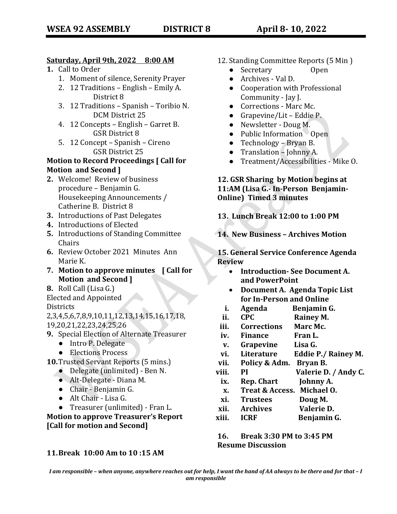#### **Saturday, April 9th, 2022 8:00 AM**

- **1.** Call to Order
	- 1. Moment of silence, Serenity Prayer
	- 2. 12 Traditions English Emily A. District 8
	- 3. 12 Traditions Spanish Toribio N. DCM District 25
	- 4. 12 Concepts English Garret B. GSR District 8
	- 5. 12 Concept Spanish Cireno GSR District 25

#### **Motion to Record Proceedings [ Call for Motion and Second ]**

- **2.** Welcome! Review of business procedure – Benjamin G. Housekeeping Announcements / Catherine B. District 8
- **3.** Introductions of Past Delegates
- **4.** Introductions of Elected
- **5.** Introductions of Standing Committee Chairs
- **6.** Review October 2021 Minutes Ann Marie K.
- **7. Motion to approve minutes [ Call for Motion and Second ]**
- **8.** Roll Call (Lisa G.)
- Elected and Appointed

**Districts** 

2,3,4,5,6,7,8,9,10,11,12,13,14,15,16,17,18, 19,20,21,22,23,24,25,26

- **9.** Special Election of Alternate Treasurer
	- Intro P. Delegate
	- Elections Process
- **10.**Trusted Servant Reports (5 mins.)
	- Delegate (unlimited) Ben N.
	- Alt-Delegate Diana M.
	- Chair Benjamin G.
	- Alt Chair Lisa G.
	- Treasurer (unlimited) Fran L.

**Motion to approve Treasurer's Report [Call for motion and Second]**

#### **11.Break 10:00 Am to 10 :15 AM**

- 12. Standing Committee Reports (5 Min )
	- Secretary Open
	- Archives Val D.
	- Cooperation with Professional Community - Jay J.
	- Corrections Marc Mc.
	- $\bullet$  Grapevine/Lit Eddie P.
	- Newsletter Doug M.
	- Public Information Open
	- Technology Bryan B.
	- Translation Johnny A.
	- Treatment/Accessibilities Mike O.

#### **12. GSR Sharing by Motion begins at 11:AM (Lisa G.- In-Person Benjamin-Online) Timed 3 minutes**

**13. Lunch Break 12:00 to 1:00 PM**

**14. New Business – Archives Motion**

#### **15. General Service Conference Agenda Review**

- **Introduction- See Document A. and PowerPoint**
- **Document A. Agenda Topic List for In-Person and Online**
- **i. Agenda Benjamin G.**
- **ii. CPC Rainey M.**
- **iii. Corrections Marc Mc.**
- **iv. Finance Fran L.**
- **v. Grapevine Lisa G.**
- **vi. Literature Eddie P./ Rainey M.**
- **vii. Policy & Adm. Bryan B.**
- **viii. PI Valerie D. / Andy C.**
- **ix. Rep. Chart Johnny A.**
- **x. Treat & Access. Michael O.**
- **xi. Trustees Doug M.**
- **xii. Archives Valerie D.**
- **xiii. ICRF Benjamin G.**

**16. Break 3:30 PM to 3:45 PM Resume Discussion**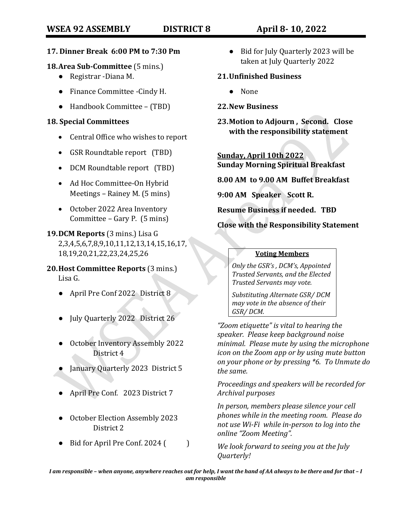#### **17. Dinner Break 6:00 PM to 7:30 Pm**

#### **18.Area Sub-Committee** (5 mins.)

- Registrar -Diana M.
- Finance Committee -Cindy H.
- Handbook Committee (TBD)

#### **18. Special Committees**

- Central Office who wishes to report
- GSR Roundtable report (TBD)
- DCM Roundtable report (TBD)
- Ad Hoc Committee-On Hybrid Meetings – Rainey M. (5 mins)
- October 2022 Area Inventory Committee – Gary P. (5 mins)

### **19.DCM Reports** (3 mins.) Lisa G 2,3,4,5,6,7,8,9,10,11,12,13,14,15,16,17, 18,19,20,21,22,23,24,25,26

**20.Host Committee Reports** (3 mins.) Lisa G.

- April Pre Conf 2022 District 8
- July Quarterly 2022 District 26
- October Inventory Assembly 2022 District 4
- January Quarterly 2023 District 5
- April Pre Conf. 2023 District 7
- October Election Assembly 2023 District 2
- $\bullet$  Bid for April Pre Conf. 2024 ()

● Bid for July Quarterly 2023 will be taken at July Quarterly 2022

#### **21.Unfinished Business**

● None

#### **22.New Business**

**23.Motion to Adjourn , Second. Close with the responsibility statement**

**Sunday, April 10th 2022 Sunday Morning Spiritual Breakfast**

**8.00 AM to 9.00 AM Buffet Breakfast** 

**9:00 AM Speaker Scott R.**

**Resume Business if needed. TBD**

**Close with the Responsibility Statement**

#### **Voting Members**

*Only the GSR's , DCM's, Appointed Trusted Servants, and the Elected Trusted Servants may vote.*

*Substituting Alternate GSR/ DCM may vote in the absence of their GSR/ DCM.*

*"Zoom etiquette" is vital to hearing the speaker. Please keep background noise minimal. Please mute by using the microphone icon on the Zoom app or by using mute button on your phone or by pressing \*6. To Unmute do the same.*

*Proceedings and speakers will be recorded for Archival purposes*

*In person, members please silence your cell phones while in the meeting room. Please do not use Wi-Fi while in-person to log into the online "Zoom Meeting".*

*We look forward to seeing you at the July Quarterly!*